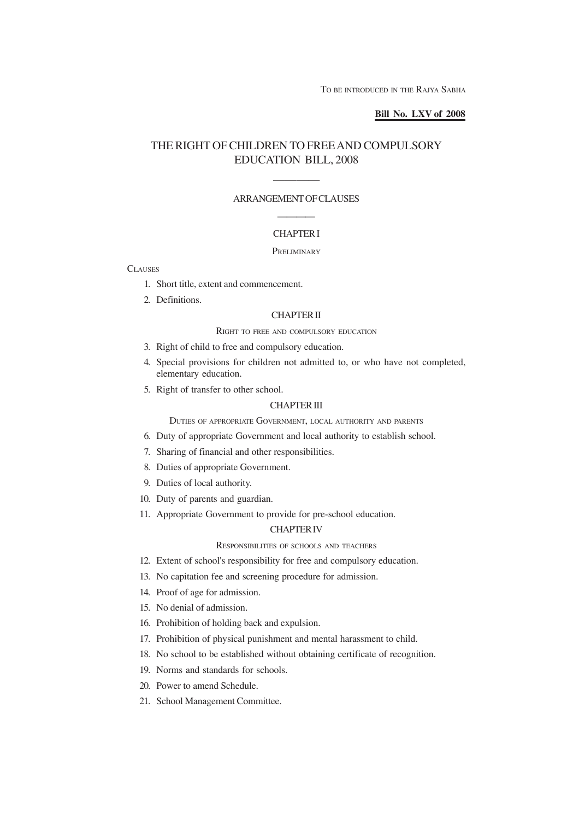## **Bill No. LXV of 2008**

## THE RIGHT OF CHILDREN TO FREE AND COMPULSORY EDUCATION BILL, 2008

# ———— ARRANGEMENT OF CLAUSES

## ———— CHAPTER I

### PRELIMINARY

**CLAUSES** 

- 1. Short title, extent and commencement.
- 2. Definitions.

## CHAPTER II

## RIGHT TO FREE AND COMPULSORY EDUCATION

- 3. Right of child to free and compulsory education.
- 4. Special provisions for children not admitted to, or who have not completed, elementary education.
- 5. Right of transfer to other school.

### CHAPTER III

DUTIES OF APPROPRIATE GOVERNMENT, LOCAL AUTHORITY AND PARENTS

- 6. Duty of appropriate Government and local authority to establish school.
- 7. Sharing of financial and other responsibilities.
- 8. Duties of appropriate Government.
- 9. Duties of local authority.
- 10. Duty of parents and guardian.
- 11. Appropriate Government to provide for pre-school education.

## CHAPTER IV

## RESPONSIBILITIES OF SCHOOLS AND TEACHERS

- 12. Extent of school's responsibility for free and compulsory education.
- 13. No capitation fee and screening procedure for admission.
- 14. Proof of age for admission.
- 15. No denial of admission.
- 16. Prohibition of holding back and expulsion.
- 17. Prohibition of physical punishment and mental harassment to child.
- 18. No school to be established without obtaining certificate of recognition.
- 19. Norms and standards for schools.
- 20. Power to amend Schedule.
- 21. School Management Committee.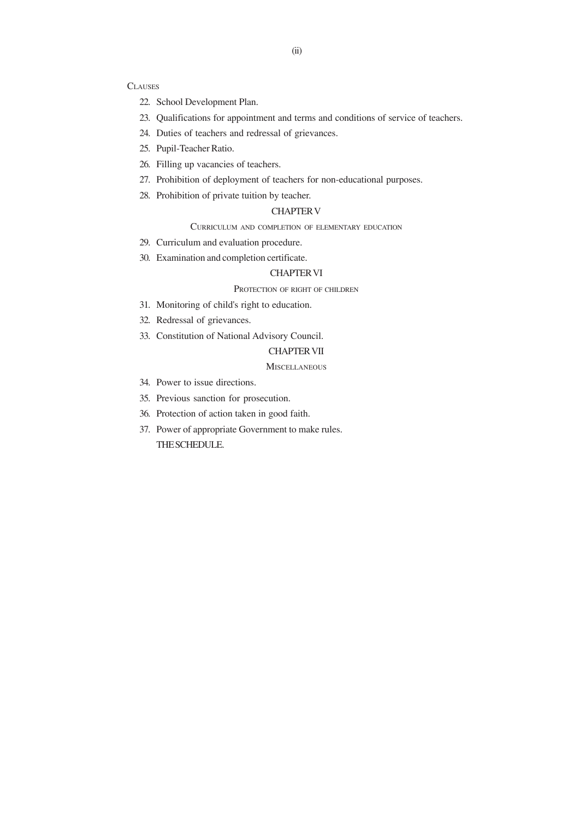#### **CLAUSES**

- 22. School Development Plan.
- 23. Qualifications for appointment and terms and conditions of service of teachers.
- 24. Duties of teachers and redressal of grievances.
- 25. Pupil-Teacher Ratio.
- 26. Filling up vacancies of teachers.
- 27. Prohibition of deployment of teachers for non-educational purposes.
- 28. Prohibition of private tuition by teacher.

## CHAPTER V

CURRICULUM AND COMPLETION OF ELEMENTARY EDUCATION

- 29. Curriculum and evaluation procedure.
- 30. Examination and completion certificate.

## CHAPTER VI

## PROTECTION OF RIGHT OF CHILDREN

- 31. Monitoring of child's right to education.
- 32. Redressal of grievances.
- 33. Constitution of National Advisory Council.

## CHAPTER VII

## **MISCELLANEOUS**

- 34. Power to issue directions.
- 35. Previous sanction for prosecution.
- 36. Protection of action taken in good faith.
- 37. Power of appropriate Government to make rules. THE SCHEDULE.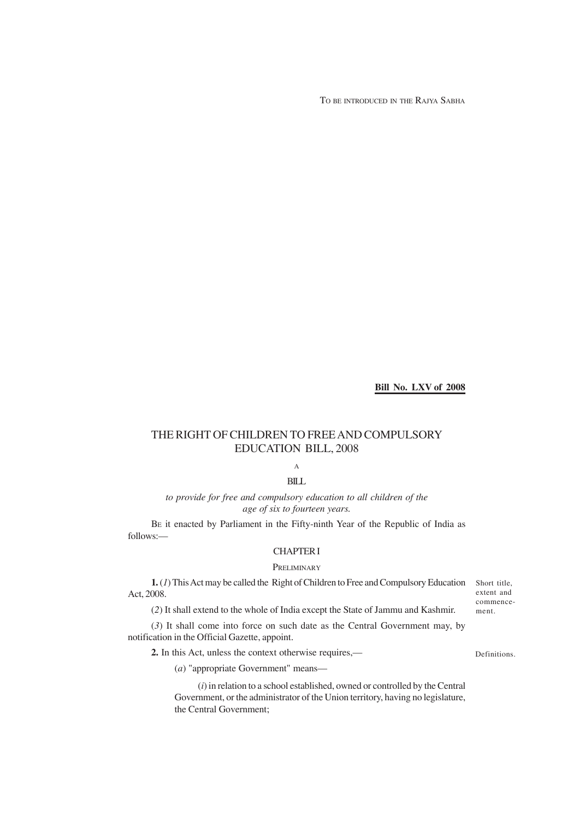TO BE INTRODUCED IN THE RAJYA SABHA

**Bill No. LXV of 2008**

## THE RIGHT OF CHILDREN TO FREE AND COMPULSORY EDUCATION BILL, 2008

A

## BILL

*to provide for free and compulsory education to all children of the age of six to fourteen years.*

BE it enacted by Parliament in the Fifty-ninth Year of the Republic of India as follows:—

## CHAPTER I

## PRELIMINARY

**1.** (*1*) This Act may be called the Right of Children to Free and Compulsory Education Short title, Act, 2008.

(*2*) It shall extend to the whole of India except the State of Jammu and Kashmir.

(*3*) It shall come into force on such date as the Central Government may, by notification in the Official Gazette, appoint.

**2.** In this Act, unless the context otherwise requires,—

Definitions.

extent and commencement.

(*a*) "appropriate Government" means—

(*i*) in relation to a school established, owned or controlled by the Central Government, or the administrator of the Union territory, having no legislature, the Central Government;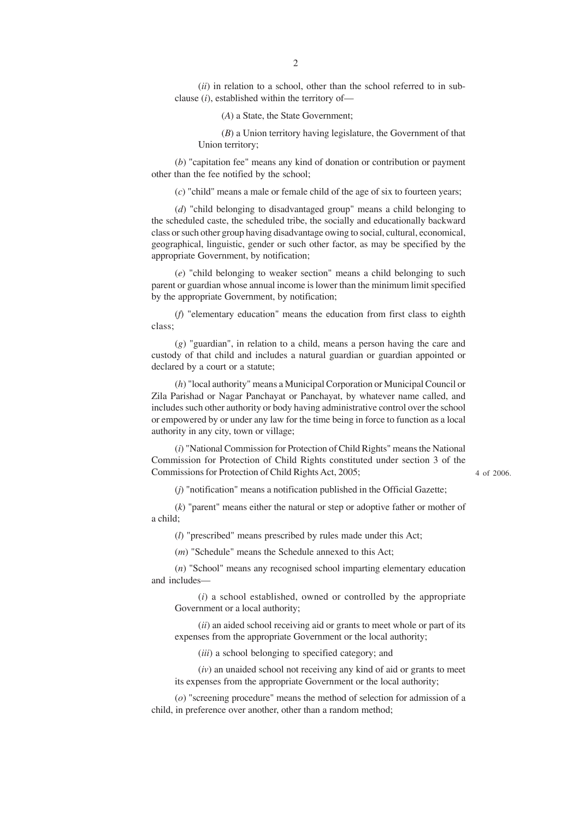(*ii*) in relation to a school, other than the school referred to in subclause (*i*), established within the territory of—

(*A*) a State, the State Government;

(*B*) a Union territory having legislature, the Government of that Union territory;

(*b*) "capitation fee" means any kind of donation or contribution or payment other than the fee notified by the school;

(*c*) "child" means a male or female child of the age of six to fourteen years;

(*d*) "child belonging to disadvantaged group" means a child belonging to the scheduled caste, the scheduled tribe, the socially and educationally backward class or such other group having disadvantage owing to social, cultural, economical, geographical, linguistic, gender or such other factor, as may be specified by the appropriate Government, by notification;

(*e*) "child belonging to weaker section" means a child belonging to such parent or guardian whose annual income is lower than the minimum limit specified by the appropriate Government, by notification;

(*f*) "elementary education" means the education from first class to eighth class;

(*g*) "guardian", in relation to a child, means a person having the care and custody of that child and includes a natural guardian or guardian appointed or declared by a court or a statute;

(*h*) "local authority" means a Municipal Corporation or Municipal Council or Zila Parishad or Nagar Panchayat or Panchayat, by whatever name called, and includes such other authority or body having administrative control over the school or empowered by or under any law for the time being in force to function as a local authority in any city, town or village;

(*i*) "National Commission for Protection of Child Rights" means the National Commission for Protection of Child Rights constituted under section 3 of the Commissions for Protection of Child Rights Act, 2005;

4 of 2006.

(*j*) "notification" means a notification published in the Official Gazette;

(*k*) "parent" means either the natural or step or adoptive father or mother of a child;

(*l*) "prescribed" means prescribed by rules made under this Act;

(*m*) "Schedule" means the Schedule annexed to this Act;

(*n*) "School" means any recognised school imparting elementary education and includes—

(*i*) a school established, owned or controlled by the appropriate Government or a local authority;

(*ii*) an aided school receiving aid or grants to meet whole or part of its expenses from the appropriate Government or the local authority;

(*iii*) a school belonging to specified category; and

(*iv*) an unaided school not receiving any kind of aid or grants to meet its expenses from the appropriate Government or the local authority;

(*o*) "screening procedure" means the method of selection for admission of a child, in preference over another, other than a random method;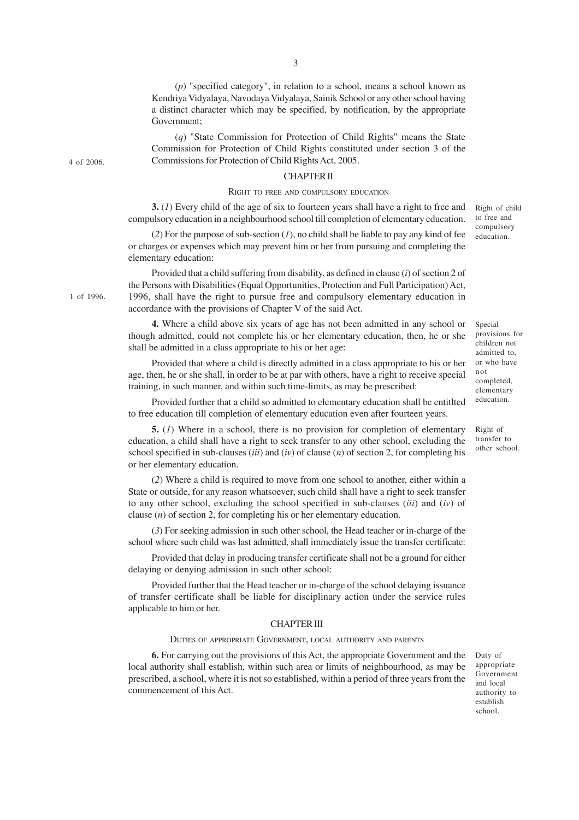(*p*) "specified category", in relation to a school, means a school known as Kendriya Vidyalaya, Navodaya Vidyalaya, Sainik School or any other school having a distinct character which may be specified, by notification, by the appropriate Government;

(*q*) "State Commission for Protection of Child Rights" means the State Commission for Protection of Child Rights constituted under section 3 of the Commissions for Protection of Child Rights Act, 2005.

### CHAPTER II

#### RIGHT TO FREE AND COMPULSORY EDUCATION

**3.** (*1*) Every child of the age of six to fourteen years shall have a right to free and compulsory education in a neighbourhood school till completion of elementary education.

(*2*) For the purpose of sub-section (*1*), no child shall be liable to pay any kind of fee or charges or expenses which may prevent him or her from pursuing and completing the elementary education:

Provided that a child suffering from disability, as defined in clause (*i*) of section 2 of the Persons with Disabilities (Equal Opportunities, Protection and Full Participation) Act, 1996, shall have the right to pursue free and compulsory elementary education in accordance with the provisions of Chapter V of the said Act.

**4.** Where a child above six years of age has not been admitted in any school or though admitted, could not complete his or her elementary education, then, he or she shall be admitted in a class appropriate to his or her age:

Provided that where a child is directly admitted in a class appropriate to his or her age, then, he or she shall, in order to be at par with others, have a right to receive special training, in such manner, and within such time-limits, as may be prescribed:

Provided further that a child so admitted to elementary education shall be entitlted to free education till completion of elementary education even after fourteen years.

**5.** (*1*) Where in a school, there is no provision for completion of elementary education, a child shall have a right to seek transfer to any other school, excluding the school specified in sub-clauses (*iii*) and (*iv*) of clause (*n*) of section 2, for completing his or her elementary education.

(*2*) Where a child is required to move from one school to another, either within a State or outside, for any reason whatsoever, such child shall have a right to seek transfer to any other school, excluding the school specified in sub-clauses (*iii*) and (*iv*) of clause (*n*) of section 2, for completing his or her elementary education.

(*3*) For seeking admission in such other school, the Head teacher or in-charge of the school where such child was last admitted, shall immediately issue the transfer certificate:

Provided that delay in producing transfer certificate shall not be a ground for either delaying or denying admission in such other school:

Provided further that the Head teacher or in-charge of the school delaying issuance of transfer certificate shall be liable for disciplinary action under the service rules applicable to him or her.

### CHAPTER III

#### DUTIES OF APPROPRIATE GOVERNMENT, LOCAL AUTHORITY AND PARENTS

**6.** For carrying out the provisions of this Act, the appropriate Government and the local authority shall establish, within such area or limits of neighbourhood, as may be prescribed, a school, where it is not so established, within a period of three years from the commencement of this Act.

Duty of appropriate Government and local authority to establish school.

1 of 1996.

4 of 2006.

3

Special provisions for children not admitted to, or who have not completed, elementary education.

Right of transfer to other school.

to free and compulsory education.

Right of child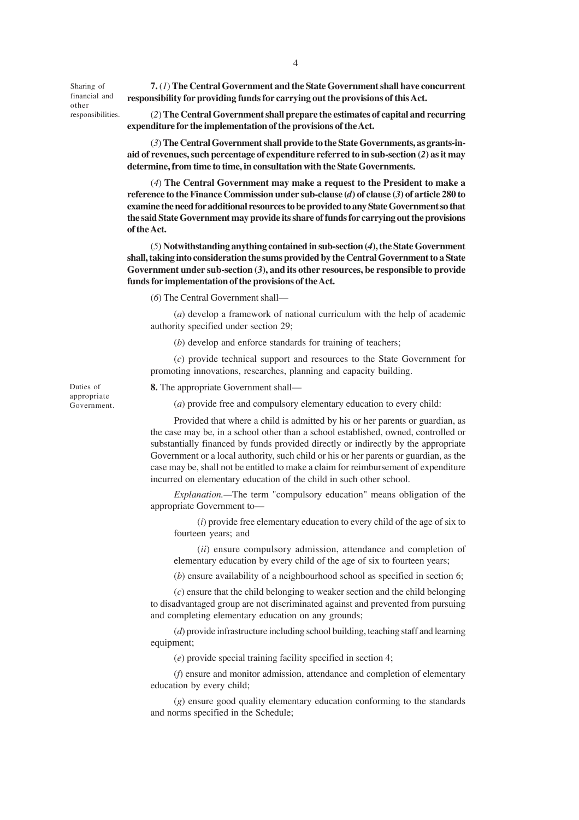Sharing of financial and other responsibilities.

**7.** (*1*) **The Central Government and the State Government shall have concurrent responsibility for providing funds for carrying out the provisions of this Act.**

(*2*) **The Central Government shall prepare the estimates of capital and recurring expenditure for the implementation of the provisions of the Act.**

(*3*) **The Central Government shall provide to the State Governments, as grants-inaid of revenues, such percentage of expenditure referred to in sub-section (***2***) as it may determine, from time to time, in consultation with the State Governments.**

(*4*) **The Central Government may make a request to the President to make a reference to the Finance Commission under sub-clause (***d***) of clause (***3***) of article 280 to examine the need for additional resources to be provided to any State Government so that the said State Government may provide its share of funds for carrying out the provisions of the Act.**

(*5*) **Notwithstanding anything contained in sub-section (***4***), the State Government shall, taking into consideration the sums provided by the Central Government to a State Government under sub-section (***3***), and its other resources, be responsible to provide funds for implementation of the provisions of the Act.**

(*6*) The Central Government shall—

(*a*) develop a framework of national curriculum with the help of academic authority specified under section 29;

(*b*) develop and enforce standards for training of teachers;

(*c*) provide technical support and resources to the State Government for promoting innovations, researches, planning and capacity building.

**8.** The appropriate Government shall—

(*a*) provide free and compulsory elementary education to every child:

Provided that where a child is admitted by his or her parents or guardian, as the case may be, in a school other than a school established, owned, controlled or substantially financed by funds provided directly or indirectly by the appropriate Government or a local authority, such child or his or her parents or guardian, as the case may be, shall not be entitled to make a claim for reimbursement of expenditure incurred on elementary education of the child in such other school.

*Explanation.—*The term "compulsory education" means obligation of the appropriate Government to—

(*i*) provide free elementary education to every child of the age of six to fourteen years; and

(*ii*) ensure compulsory admission, attendance and completion of elementary education by every child of the age of six to fourteen years;

(*b*) ensure availability of a neighbourhood school as specified in section 6;

(*c*) ensure that the child belonging to weaker section and the child belonging to disadvantaged group are not discriminated against and prevented from pursuing and completing elementary education on any grounds;

(*d*) provide infrastructure including school building, teaching staff and learning equipment;

(*e*) provide special training facility specified in section 4;

(*f*) ensure and monitor admission, attendance and completion of elementary education by every child;

(*g*) ensure good quality elementary education conforming to the standards and norms specified in the Schedule;

Duties of appropriate Government.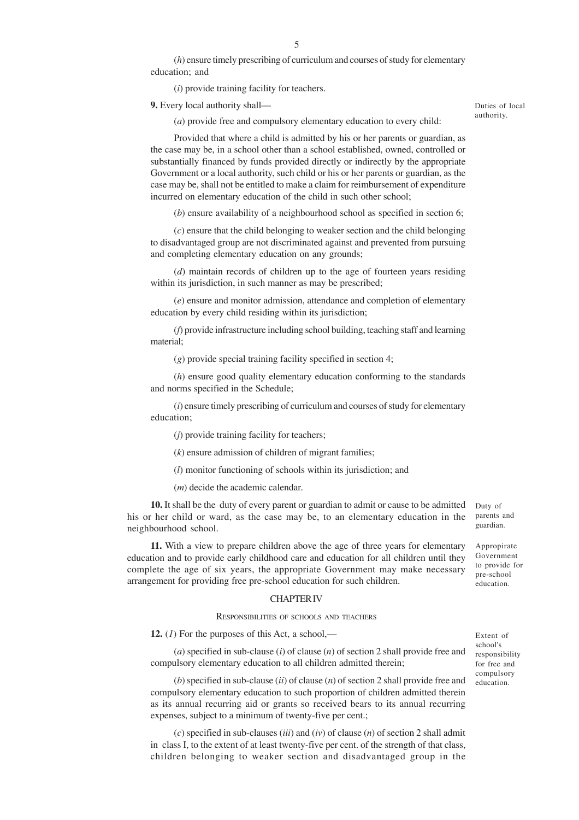(*h*) ensure timely prescribing of curriculum and courses of study for elementary education; and

(*i*) provide training facility for teachers.

**9.** Every local authority shall—

Duties of local authority.

(*a*) provide free and compulsory elementary education to every child:

Provided that where a child is admitted by his or her parents or guardian, as the case may be, in a school other than a school established, owned, controlled or substantially financed by funds provided directly or indirectly by the appropriate Government or a local authority, such child or his or her parents or guardian, as the case may be, shall not be entitled to make a claim for reimbursement of expenditure incurred on elementary education of the child in such other school;

(*b*) ensure availability of a neighbourhood school as specified in section 6;

(*c*) ensure that the child belonging to weaker section and the child belonging to disadvantaged group are not discriminated against and prevented from pursuing and completing elementary education on any grounds;

(*d*) maintain records of children up to the age of fourteen years residing within its jurisdiction, in such manner as may be prescribed;

(*e*) ensure and monitor admission, attendance and completion of elementary education by every child residing within its jurisdiction;

(*f*) provide infrastructure including school building, teaching staff and learning material;

(*g*) provide special training facility specified in section 4;

(*h*) ensure good quality elementary education conforming to the standards and norms specified in the Schedule;

(*i*) ensure timely prescribing of curriculum and courses of study for elementary education;

(*j*) provide training facility for teachers;

(*k*) ensure admission of children of migrant families;

(*l*) monitor functioning of schools within its jurisdiction; and

(*m*) decide the academic calendar.

**10.** It shall be the duty of every parent or guardian to admit or cause to be admitted Duty of his or her child or ward, as the case may be, to an elementary education in the neighbourhood school.

**11.** With a view to prepare children above the age of three years for elementary education and to provide early childhood care and education for all children until they complete the age of six years, the appropriate Government may make necessary arrangement for providing free pre-school education for such children.

#### CHAPTER IV

### RESPONSIBILITIES OF SCHOOLS AND TEACHERS

**12.**  $(I)$  For the purposes of this Act, a school,—

(*a*) specified in sub-clause (*i*) of clause (*n*) of section 2 shall provide free and compulsory elementary education to all children admitted therein;

(*b*) specified in sub-clause (*ii*) of clause (*n*) of section 2 shall provide free and compulsory elementary education to such proportion of children admitted therein as its annual recurring aid or grants so received bears to its annual recurring expenses, subject to a minimum of twenty-five per cent.;

(*c*) specified in sub-clauses (*iii*) and (*iv*) of clause (*n*) of section 2 shall admit in class I, to the extent of at least twenty-five per cent. of the strength of that class, children belonging to weaker section and disadvantaged group in the parents and guardian.

Appropirate Government to provide for pre-school education.

Extent of school's responsibility for free and compulsory education.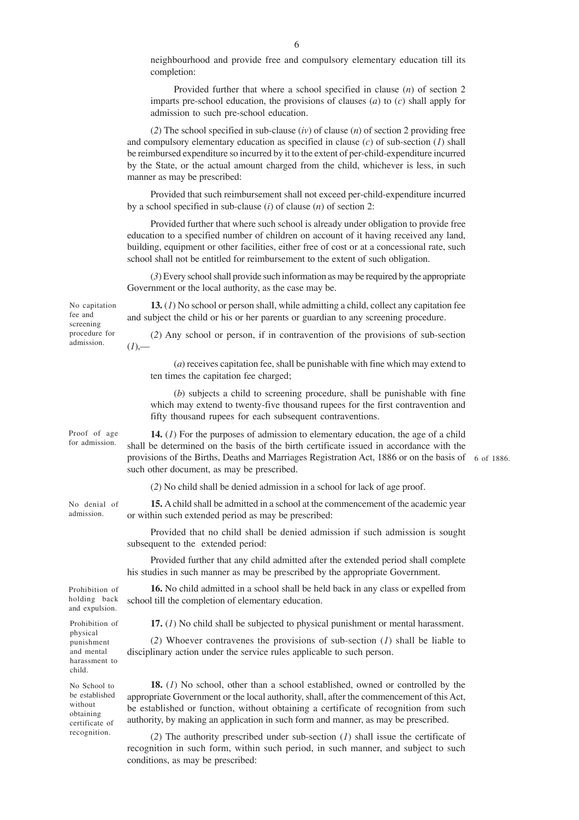neighbourhood and provide free and compulsory elementary education till its completion:

Provided further that where a school specified in clause (*n*) of section 2 imparts pre-school education, the provisions of clauses (*a*) to (*c*) shall apply for admission to such pre-school education.

(*2*) The school specified in sub-clause (*iv*) of clause (*n*) of section 2 providing free and compulsory elementary education as specified in clause (*c*) of sub-section (*1*) shall be reimbursed expenditure so incurred by it to the extent of per-child-expenditure incurred by the State, or the actual amount charged from the child, whichever is less, in such manner as may be prescribed:

Provided that such reimbursement shall not exceed per-child-expenditure incurred by a school specified in sub-clause (*i*) of clause (*n*) of section 2:

Provided further that where such school is already under obligation to provide free education to a specified number of children on account of it having received any land, building, equipment or other facilities, either free of cost or at a concessional rate, such school shall not be entitled for reimbursement to the extent of such obligation.

(*3*) Every school shall provide such information as may be required by the appropriate Government or the local authority, as the case may be.

and subject the child or his or her parents or guardian to any screening procedure.

No capitation fee and screening procedure for admission.

 $(1)$ ,—

(*2*) Any school or person, if in contravention of the provisions of sub-section

**13.** (*1*) No school or person shall, while admitting a child, collect any capitation fee

(*a*) receives capitation fee, shall be punishable with fine which may extend to ten times the capitation fee charged;

(*b*) subjects a child to screening procedure, shall be punishable with fine which may extend to twenty-five thousand rupees for the first contravention and fifty thousand rupees for each subsequent contraventions.

**14.** (*1*) For the purposes of admission to elementary education, the age of a child shall be determined on the basis of the birth certificate issued in accordance with the provisions of the Births, Deaths and Marriages Registration Act, 1886 or on the basis of 6 of 1886. such other document, as may be prescribed. Proof of age for admission.

(*2*) No child shall be denied admission in a school for lack of age proof.

**15.** A child shall be admitted in a school at the commencement of the academic year or within such extended period as may be prescribed:

Provided that no child shall be denied admission if such admission is sought subsequent to the extended period:

Provided further that any child admitted after the extended period shall complete his studies in such manner as may be prescribed by the appropriate Government.

**16.** No child admitted in a school shall be held back in any class or expelled from school till the completion of elementary education.

**17.** (*1*) No child shall be subjected to physical punishment or mental harassment.

(*2*) Whoever contravenes the provisions of sub-section (*1*) shall be liable to disciplinary action under the service rules applicable to such person.

**18.** (*1*) No school, other than a school established, owned or controlled by the appropriate Government or the local authority, shall, after the commencement of this Act, be established or function, without obtaining a certificate of recognition from such authority, by making an application in such form and manner, as may be prescribed.

(*2*) The authority prescribed under sub-section (*1*) shall issue the certificate of recognition in such form, within such period, in such manner, and subject to such conditions, as may be prescribed:

Prohibition of holding back and expulsion.

No denial of admission.

Prohibition of physical punishment and mental harassment to child.

No School to be established without obtaining certificate of recognition.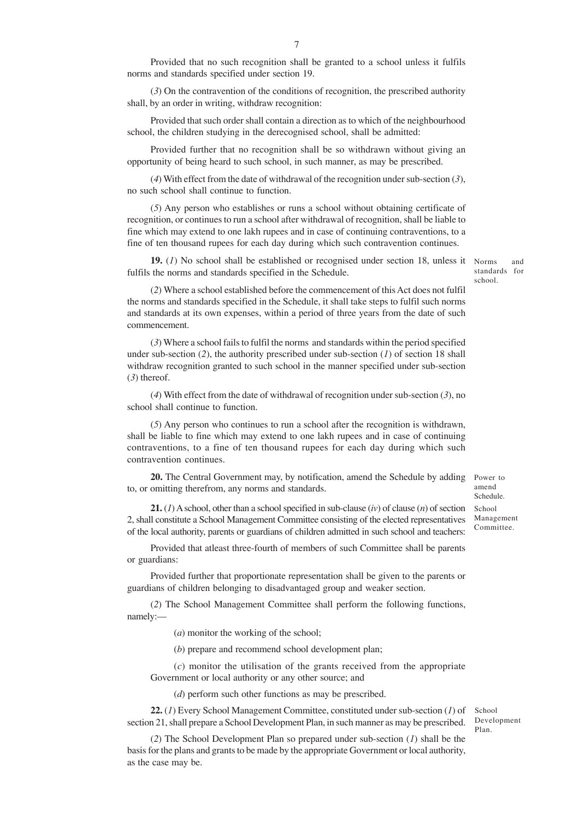Provided that no such recognition shall be granted to a school unless it fulfils norms and standards specified under section 19.

(*3*) On the contravention of the conditions of recognition, the prescribed authority shall, by an order in writing, withdraw recognition:

Provided that such order shall contain a direction as to which of the neighbourhood school, the children studying in the derecognised school, shall be admitted:

Provided further that no recognition shall be so withdrawn without giving an opportunity of being heard to such school, in such manner, as may be prescribed.

(*4*) With effect from the date of withdrawal of the recognition under sub-section (*3*), no such school shall continue to function.

(*5*) Any person who establishes or runs a school without obtaining certificate of recognition, or continues to run a school after withdrawal of recognition, shall be liable to fine which may extend to one lakh rupees and in case of continuing contraventions, to a fine of ten thousand rupees for each day during which such contravention continues.

**19.** (1) No school shall be established or recognised under section 18, unless it Norms and fulfils the norms and standards specified in the Schedule.

standards for school.

(*2*) Where a school established before the commencement of this Act does not fulfil the norms and standards specified in the Schedule, it shall take steps to fulfil such norms and standards at its own expenses, within a period of three years from the date of such commencement.

(*3*) Where a school fails to fulfil the norms and standards within the period specified under sub-section (*2*), the authority prescribed under sub-section (*1*) of section 18 shall withdraw recognition granted to such school in the manner specified under sub-section (*3*) thereof.

(*4*) With effect from the date of withdrawal of recognition under sub-section (*3*), no school shall continue to function.

(*5*) Any person who continues to run a school after the recognition is withdrawn, shall be liable to fine which may extend to one lakh rupees and in case of continuing contraventions, to a fine of ten thousand rupees for each day during which such contravention continues.

20. The Central Government may, by notification, amend the Schedule by adding Power to to, or omitting therefrom, any norms and standards.

**21.** (*1*) A school, other than a school specified in sub-clause (*iv*) of clause (*n*) of section 2, shall constitute a School Management Committee consisting of the elected representatives of the local authority, parents or guardians of children admitted in such school and teachers:

Provided that atleast three-fourth of members of such Committee shall be parents or guardians:

Provided further that proportionate representation shall be given to the parents or guardians of children belonging to disadvantaged group and weaker section.

(*2*) The School Management Committee shall perform the following functions, namely:—

(*a*) monitor the working of the school;

(*b*) prepare and recommend school development plan;

(*c*) monitor the utilisation of the grants received from the appropriate Government or local authority or any other source; and

(*d*) perform such other functions as may be prescribed.

**22.** (*1*) Every School Management Committee, constituted under sub-section (*1*) of section 21, shall prepare a School Development Plan, in such manner as may be prescribed.

School Development Plan.

(*2*) The School Development Plan so prepared under sub-section (*1*) shall be the basis for the plans and grants to be made by the appropriate Government or local authority, as the case may be.

amend Schedule. School Management Committee.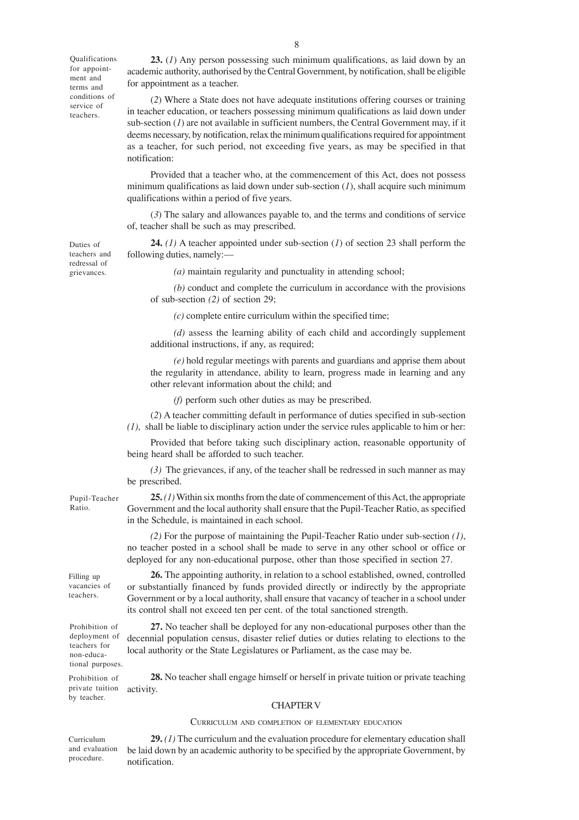Qualifications for appointment and terms and conditions of service of teachers.

**23.** (*1*) Any person possessing such minimum qualifications, as laid down by an academic authority, authorised by the Central Government, by notification, shall be eligible for appointment as a teacher.

(*2*) Where a State does not have adequate institutions offering courses or training in teacher education, or teachers possessing minimum qualifications as laid down under  $sub-section (1)$  are not available in sufficient numbers, the Central Government may, if it deems necessary, by notification, relax the minimum qualifications required for appointment as a teacher, for such period, not exceeding five years, as may be specified in that notification:

Provided that a teacher who, at the commencement of this Act, does not possess minimum qualifications as laid down under sub-section (*1*), shall acquire such minimum qualifications within a period of five years.

(*3*) The salary and allowances payable to, and the terms and conditions of service of, teacher shall be such as may prescribed.

**24.** *(1)* A teacher appointed under sub-section (*1*) of section 23 shall perform the following duties, namely:—

*(a)* maintain regularity and punctuality in attending school;

*(b)* conduct and complete the curriculum in accordance with the provisions of sub-section *(2)* of section 29;

*(c)* complete entire curriculum within the specified time;

*(d)* assess the learning ability of each child and accordingly supplement additional instructions, if any, as required;

*(e)* hold regular meetings with parents and guardians and apprise them about the regularity in attendance, ability to learn, progress made in learning and any other relevant information about the child; and

*(f)* perform such other duties as may be prescribed.

(*2*) A teacher committing default in performance of duties specified in sub-section *(1)*, shall be liable to disciplinary action under the service rules applicable to him or her:

Provided that before taking such disciplinary action, reasonable opportunity of being heard shall be afforded to such teacher.

*(3)* The grievances, if any, of the teacher shall be redressed in such manner as may be prescribed.

**25.** *(1)* Within six months from the date of commencement of this Act, the appropriate Government and the local authority shall ensure that the Pupil-Teacher Ratio, as specified in the Schedule, is maintained in each school.

*(2)* For the purpose of maintaining the Pupil-Teacher Ratio under sub-section *(1)*, no teacher posted in a school shall be made to serve in any other school or office or deployed for any non-educational purpose, other than those specified in section 27.

**26.** The appointing authority, in relation to a school established, owned, controlled or substantially financed by funds provided directly or indirectly by the appropriate Government or by a local authority, shall ensure that vacancy of teacher in a school under its control shall not exceed ten per cent. of the total sanctioned strength.

**27.** No teacher shall be deployed for any non-educational purposes other than the decennial population census, disaster relief duties or duties relating to elections to the local authority or the State Legislatures or Parliament, as the case may be.

**28.** No teacher shall engage himself or herself in private tuition or private teaching activity.

#### CHAPTER V

#### CURRICULUM AND COMPLETION OF ELEMENTARY EDUCATION

Curriculum and evaluation procedure.

**29.** *(1)* The curriculum and the evaluation procedure for elementary education shall be laid down by an academic authority to be specified by the appropriate Government, by notification.

Duties of teachers and redressal of grievances.

## Pupil-Teacher Ratio.

Filling up vacancies of teachers.

Prohibition of deployment of teachers for non-educational purposes.

Prohibition of private tuition by teacher.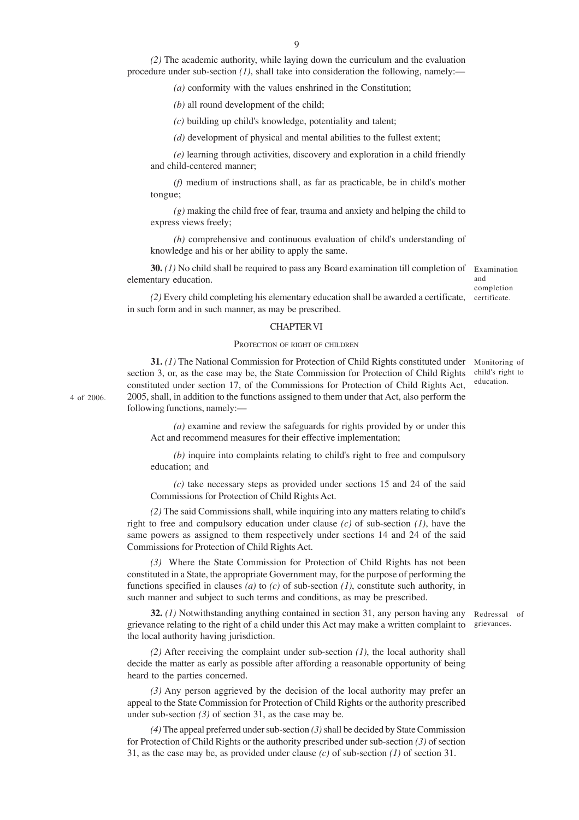*(2)* The academic authority, while laying down the curriculum and the evaluation procedure under sub-section *(1)*, shall take into consideration the following, namely:—

*(a)* conformity with the values enshrined in the Constitution;

*(b)* all round development of the child;

*(c)* building up child's knowledge, potentiality and talent;

*(d)* development of physical and mental abilities to the fullest extent;

*(e)* learning through activities, discovery and exploration in a child friendly and child-centered manner;

*(f)* medium of instructions shall, as far as practicable, be in child's mother tongue;

*(g)* making the child free of fear, trauma and anxiety and helping the child to express views freely;

*(h)* comprehensive and continuous evaluation of child's understanding of knowledge and his or her ability to apply the same.

**30.** *(1)* No child shall be required to pass any Board examination till completion of elementary education.

Examination and completion

(2) Every child completing his elementary education shall be awarded a certificate, certificate. in such form and in such manner, as may be prescribed.

#### CHAPTER VI

#### PROTECTION OF RIGHT OF CHILDREN

**31.** (1) The National Commission for Protection of Child Rights constituted under Monitoring of section 3, or, as the case may be, the State Commission for Protection of Child Rights child's right to constituted under section 17, of the Commissions for Protection of Child Rights Act, 2005, shall, in addition to the functions assigned to them under that Act, also perform the following functions, namely:—

education.

*(a)* examine and review the safeguards for rights provided by or under this Act and recommend measures for their effective implementation;

*(b)* inquire into complaints relating to child's right to free and compulsory education; and

*(c)* take necessary steps as provided under sections 15 and 24 of the said Commissions for Protection of Child Rights Act.

*(2)* The said Commissions shall, while inquiring into any matters relating to child's right to free and compulsory education under clause *(c)* of sub-section *(1)*, have the same powers as assigned to them respectively under sections 14 and 24 of the said Commissions for Protection of Child Rights Act.

*(3)* Where the State Commission for Protection of Child Rights has not been constituted in a State, the appropriate Government may, for the purpose of performing the functions specified in clauses *(a)* to *(c)* of sub-section *(1)*, constitute such authority, in such manner and subject to such terms and conditions, as may be prescribed.

**32.** (1) Notwithstanding anything contained in section 31, any person having any Redressal of grievance relating to the right of a child under this Act may make a written complaint to grievances. the local authority having jurisdiction.

*(2)* After receiving the complaint under sub-section *(1)*, the local authority shall decide the matter as early as possible after affording a reasonable opportunity of being heard to the parties concerned.

*(3)* Any person aggrieved by the decision of the local authority may prefer an appeal to the State Commission for Protection of Child Rights or the authority prescribed under sub-section *(3)* of section 31, as the case may be.

*(4)* The appeal preferred under sub-section *(3)* shall be decided by State Commission for Protection of Child Rights or the authority prescribed under sub-section *(3)* of section 31, as the case may be, as provided under clause *(c)* of sub-section *(1)* of section 31.

4 of 2006.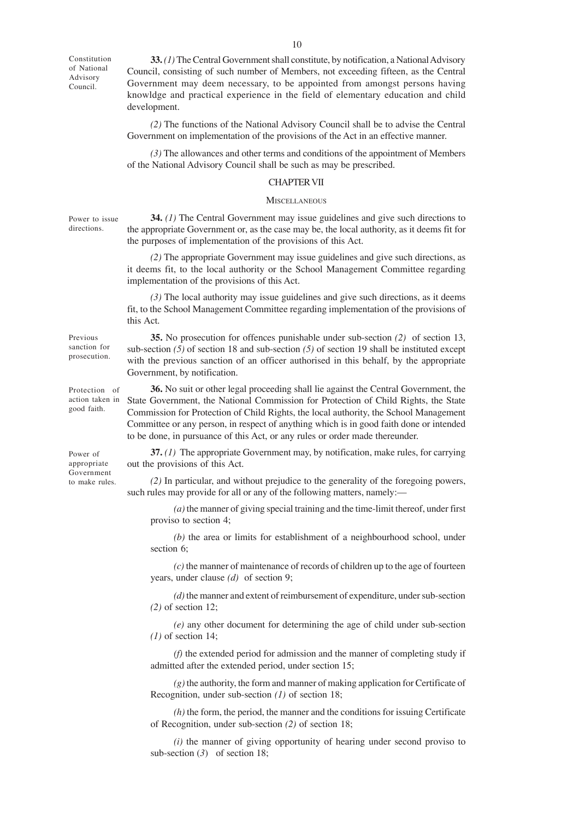Constitution of National Advisory Council.

**33.** *(1)* The Central Government shall constitute, by notification, a National Advisory Council, consisting of such number of Members, not exceeding fifteen, as the Central Government may deem necessary, to be appointed from amongst persons having knowldge and practical experience in the field of elementary education and child development.

*(2)* The functions of the National Advisory Council shall be to advise the Central Government on implementation of the provisions of the Act in an effective manner.

*(3)* The allowances and other terms and conditions of the appointment of Members of the National Advisory Council shall be such as may be prescribed.

#### CHAPTER VII

#### **MISCELLANEOUS**

**34.** *(1)* The Central Government may issue guidelines and give such directions to the appropriate Government or, as the case may be, the local authority, as it deems fit for the purposes of implementation of the provisions of this Act.

*(2)* The appropriate Government may issue guidelines and give such directions, as it deems fit, to the local authority or the School Management Committee regarding implementation of the provisions of this Act.

*(3)* The local authority may issue guidelines and give such directions, as it deems fit, to the School Management Committee regarding implementation of the provisions of this Act.

**35.** No prosecution for offences punishable under sub-section *(2)* of section 13, sub-section *(5)* of section 18 and sub-section *(5)* of section 19 shall be instituted except with the previous sanction of an officer authorised in this behalf, by the appropriate Government, by notification.

**36.** No suit or other legal proceeding shall lie against the Central Government, the State Government, the National Commission for Protection of Child Rights, the State Commission for Protection of Child Rights, the local authority, the School Management Committee or any person, in respect of anything which is in good faith done or intended to be done, in pursuance of this Act, or any rules or order made thereunder.

**37.** *(1)* The appropriate Government may, by notification, make rules, for carrying out the provisions of this Act.

*(2)* In particular, and without prejudice to the generality of the foregoing powers, such rules may provide for all or any of the following matters, namely:—

*(a)* the manner of giving special training and the time-limit thereof, under first proviso to section 4;

*(b)* the area or limits for establishment of a neighbourhood school, under section 6;

*(c)* the manner of maintenance of records of children up to the age of fourteen years, under clause *(d)* of section 9;

*(d)* the manner and extent of reimbursement of expenditure, under sub-section *(2)* of section 12;

*(e)* any other document for determining the age of child under sub-section *(1)* of section 14;

*(f)* the extended period for admission and the manner of completing study if admitted after the extended period, under section 15;

*(g)* the authority, the form and manner of making application for Certificate of Recognition, under sub-section *(1)* of section 18;

*(h)* the form, the period, the manner and the conditions for issuing Certificate of Recognition, under sub-section *(2)* of section 18;

*(i)* the manner of giving opportunity of hearing under second proviso to sub-section (*3*) of section 18;

Power to issue directions.

Protection of action taken in good faith.

Previous sanction for prosecution.

Power of appropriate Government to make rules.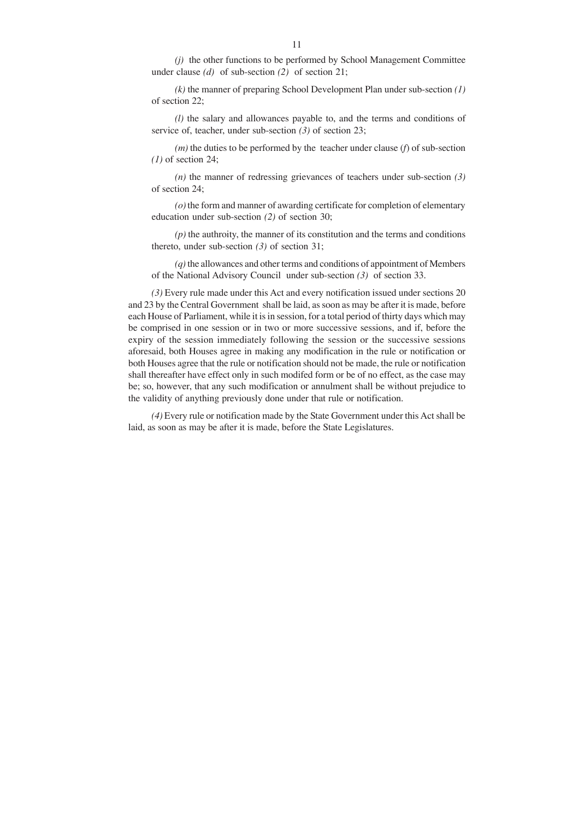*(j)* the other functions to be performed by School Management Committee under clause *(d)* of sub-section *(2)* of section 21;

*(k)* the manner of preparing School Development Plan under sub-section *(1)* of section 22;

*(l)* the salary and allowances payable to, and the terms and conditions of service of, teacher, under sub-section *(3)* of section 23;

*(m)* the duties to be performed by the teacher under clause (*f*) of sub-section *(1)* of section 24;

*(n)* the manner of redressing grievances of teachers under sub-section *(3)* of section 24;

*(o)* the form and manner of awarding certificate for completion of elementary education under sub-section *(2)* of section 30;

*(p)* the authroity, the manner of its constitution and the terms and conditions thereto, under sub-section *(3)* of section 31;

*(q)* the allowances and other terms and conditions of appointment of Members of the National Advisory Council under sub-section *(3)* of section 33.

*(3)* Every rule made under this Act and every notification issued under sections 20 and 23 by the Central Government shall be laid, as soon as may be after it is made, before each House of Parliament, while it is in session, for a total period of thirty days which may be comprised in one session or in two or more successive sessions, and if, before the expiry of the session immediately following the session or the successive sessions aforesaid, both Houses agree in making any modification in the rule or notification or both Houses agree that the rule or notification should not be made, the rule or notification shall thereafter have effect only in such modifed form or be of no effect, as the case may be; so, however, that any such modification or annulment shall be without prejudice to the validity of anything previously done under that rule or notification.

*(4)* Every rule or notification made by the State Government under this Act shall be laid, as soon as may be after it is made, before the State Legislatures.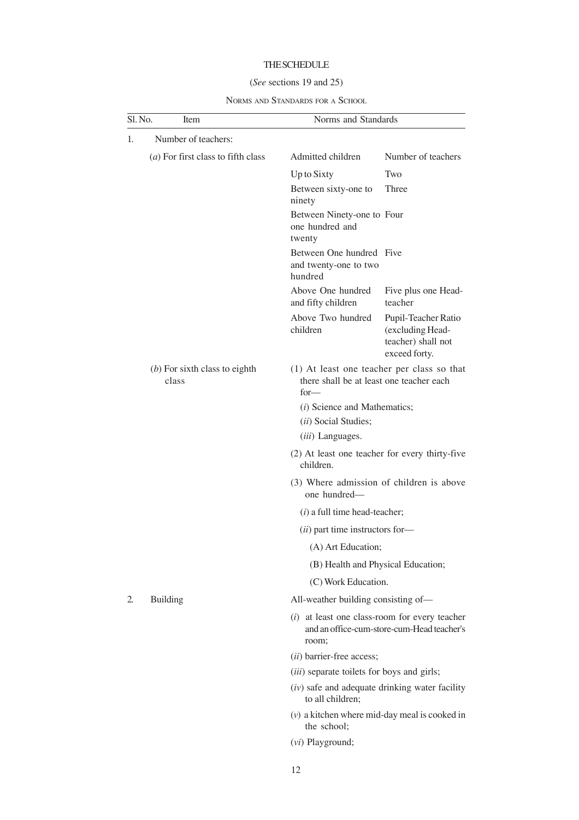## THE SCHEDULE

## (*See* sections 19 and 25)

NORMS AND STANDARDS FOR A SCHOOL

| Sl. No.<br>Item |                                             | Norms and Standards                                                                                     |                                                                                                                           |  |
|-----------------|---------------------------------------------|---------------------------------------------------------------------------------------------------------|---------------------------------------------------------------------------------------------------------------------------|--|
| 1.              | Number of teachers:                         |                                                                                                         |                                                                                                                           |  |
|                 | ( <i>a</i> ) For first class to fifth class | Admitted children                                                                                       | Number of teachers                                                                                                        |  |
|                 |                                             | Up to Sixty                                                                                             | Two                                                                                                                       |  |
|                 |                                             | Between sixty-one to<br>ninety                                                                          | Three                                                                                                                     |  |
|                 |                                             | Between Ninety-one to Four<br>one hundred and<br>twenty                                                 |                                                                                                                           |  |
|                 |                                             | Between One hundred Five<br>and twenty-one to two<br>hundred                                            |                                                                                                                           |  |
|                 |                                             | Above One hundred<br>and fifty children                                                                 | Five plus one Head-<br>teacher                                                                                            |  |
|                 |                                             | Above Two hundred<br>children                                                                           | Pupil-Teacher Ratio<br>(excluding Head-<br>teacher) shall not<br>exceed forty.                                            |  |
|                 | $(b)$ For sixth class to eighth<br>class    | $for-$                                                                                                  | (1) At least one teacher per class so that<br>there shall be at least one teacher each                                    |  |
|                 |                                             |                                                                                                         | (i) Science and Mathematics;                                                                                              |  |
|                 |                                             | (ii) Social Studies;                                                                                    |                                                                                                                           |  |
|                 |                                             | ( <i>iii</i> ) Languages.                                                                               |                                                                                                                           |  |
|                 |                                             | children.                                                                                               | (2) At least one teacher for every thirty-five                                                                            |  |
|                 |                                             | one hundred-                                                                                            | (3) Where admission of children is above                                                                                  |  |
|                 |                                             | $(i)$ a full time head-teacher;                                                                         |                                                                                                                           |  |
|                 |                                             |                                                                                                         | (ii) part time instructors for-<br>(A) Art Education;                                                                     |  |
|                 |                                             |                                                                                                         |                                                                                                                           |  |
|                 |                                             |                                                                                                         | (B) Health and Physical Education;                                                                                        |  |
|                 |                                             |                                                                                                         | (C) Work Education.                                                                                                       |  |
| 2.              | <b>Building</b>                             |                                                                                                         | All-weather building consisting of-                                                                                       |  |
|                 |                                             | at least one class-room for every teacher<br>(i)<br>and an office-cum-store-cum-Head teacher's<br>room; |                                                                                                                           |  |
|                 |                                             | (ii) barrier-free access;                                                                               | ( <i>iii</i> ) separate toilets for boys and girls;<br>(iv) safe and adequate drinking water facility<br>to all children; |  |
|                 |                                             |                                                                                                         |                                                                                                                           |  |
|                 |                                             |                                                                                                         |                                                                                                                           |  |
|                 |                                             | $(v)$ a kitchen where mid-day meal is cooked in<br>the school:                                          |                                                                                                                           |  |
|                 |                                             | (vi) Playground;                                                                                        |                                                                                                                           |  |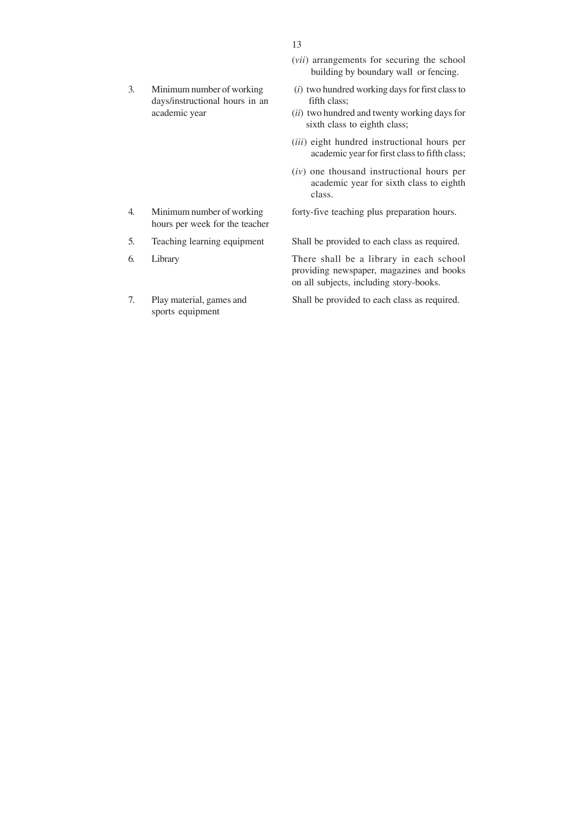days/instructional hours in an fifth class;

hours per week for the teacher

sports equipment

- (*vii*) arrangements for securing the school building by boundary wall or fencing.
- 3. Minimum number of working (*i*) two hundred working days for first class to
	- academic year (*ii*) two hundred and twenty working days for sixth class to eighth class;
		- (*iii*) eight hundred instructional hours per academic year for first class to fifth class;
		- (*iv*) one thousand instructional hours per academic year for sixth class to eighth class.

4. Minimum number of working forty-five teaching plus preparation hours.

5. Teaching learning equipment Shall be provided to each class as required.

6. Library There shall be a library in each school providing newspaper, magazines and books on all subjects, including story-books.

7. Play material, games and Shall be provided to each class as required.

13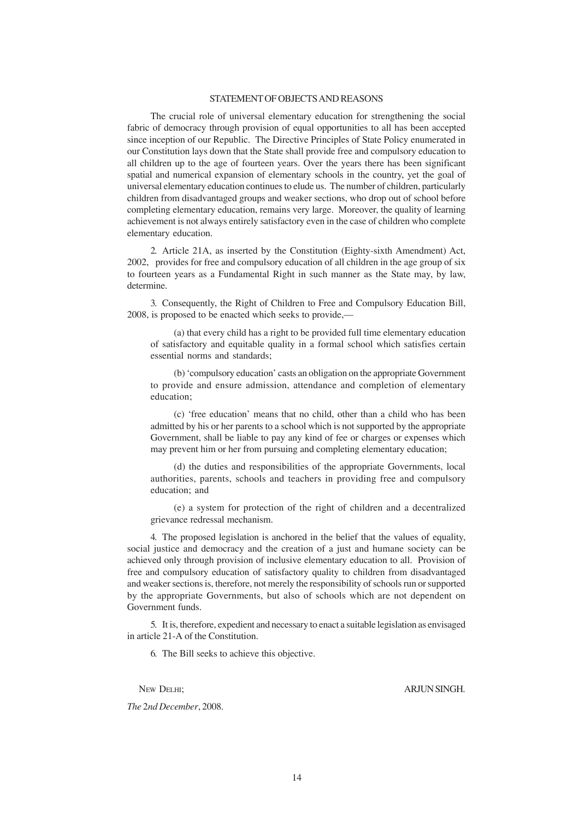#### STATEMENT OF OBJECTS AND REASONS

The crucial role of universal elementary education for strengthening the social fabric of democracy through provision of equal opportunities to all has been accepted since inception of our Republic. The Directive Principles of State Policy enumerated in our Constitution lays down that the State shall provide free and compulsory education to all children up to the age of fourteen years. Over the years there has been significant spatial and numerical expansion of elementary schools in the country, yet the goal of universal elementary education continues to elude us. The number of children, particularly children from disadvantaged groups and weaker sections, who drop out of school before completing elementary education, remains very large. Moreover, the quality of learning achievement is not always entirely satisfactory even in the case of children who complete elementary education.

2. Article 21A, as inserted by the Constitution (Eighty-sixth Amendment) Act, 2002, provides for free and compulsory education of all children in the age group of six to fourteen years as a Fundamental Right in such manner as the State may, by law, determine.

3. Consequently, the Right of Children to Free and Compulsory Education Bill, 2008, is proposed to be enacted which seeks to provide,—

(a) that every child has a right to be provided full time elementary education of satisfactory and equitable quality in a formal school which satisfies certain essential norms and standards;

(b) 'compulsory education' casts an obligation on the appropriate Government to provide and ensure admission, attendance and completion of elementary education;

(c) 'free education' means that no child, other than a child who has been admitted by his or her parents to a school which is not supported by the appropriate Government, shall be liable to pay any kind of fee or charges or expenses which may prevent him or her from pursuing and completing elementary education;

(d) the duties and responsibilities of the appropriate Governments, local authorities, parents, schools and teachers in providing free and compulsory education; and

(e) a system for protection of the right of children and a decentralized grievance redressal mechanism.

4. The proposed legislation is anchored in the belief that the values of equality, social justice and democracy and the creation of a just and humane society can be achieved only through provision of inclusive elementary education to all. Provision of free and compulsory education of satisfactory quality to children from disadvantaged and weaker sections is, therefore, not merely the responsibility of schools run or supported by the appropriate Governments, but also of schools which are not dependent on Government funds.

5. It is, therefore, expedient and necessary to enact a suitable legislation as envisaged in article 21-A of the Constitution.

6. The Bill seeks to achieve this objective.

*The* 2*nd December*, 2008.

NEW DELHI; ARJUN SINGH.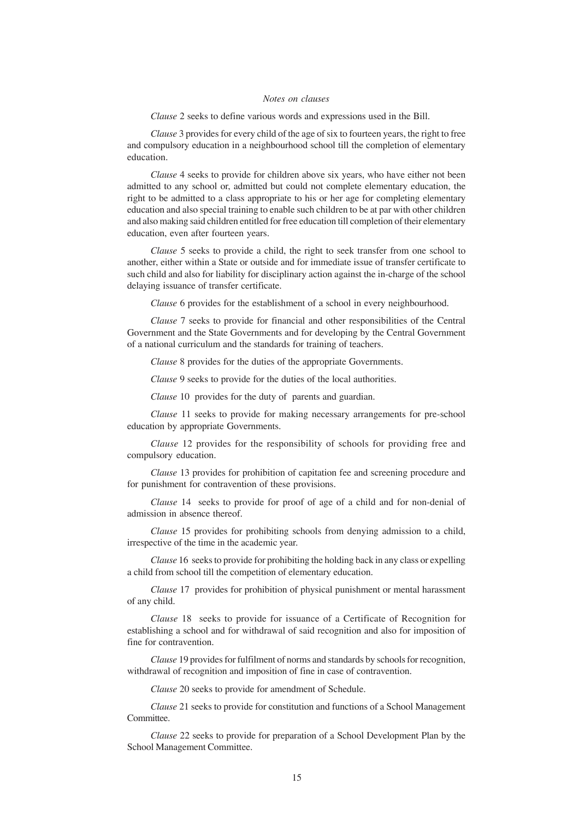### *Notes on clauses*

*Clause* 2 seeks to define various words and expressions used in the Bill.

*Clause* 3 provides for every child of the age of six to fourteen years, the right to free and compulsory education in a neighbourhood school till the completion of elementary education.

*Clause* 4 seeks to provide for children above six years, who have either not been admitted to any school or, admitted but could not complete elementary education, the right to be admitted to a class appropriate to his or her age for completing elementary education and also special training to enable such children to be at par with other children and also making said children entitled for free education till completion of their elementary education, even after fourteen years.

*Clause* 5 seeks to provide a child, the right to seek transfer from one school to another, either within a State or outside and for immediate issue of transfer certificate to such child and also for liability for disciplinary action against the in-charge of the school delaying issuance of transfer certificate.

*Clause* 6 provides for the establishment of a school in every neighbourhood.

*Clause* 7 seeks to provide for financial and other responsibilities of the Central Government and the State Governments and for developing by the Central Government of a national curriculum and the standards for training of teachers.

*Clause* 8 provides for the duties of the appropriate Governments.

*Clause* 9 seeks to provide for the duties of the local authorities.

*Clause* 10 provides for the duty of parents and guardian.

*Clause* 11 seeks to provide for making necessary arrangements for pre-school education by appropriate Governments.

*Clause* 12 provides for the responsibility of schools for providing free and compulsory education.

*Clause* 13 provides for prohibition of capitation fee and screening procedure and for punishment for contravention of these provisions.

*Clause* 14 seeks to provide for proof of age of a child and for non-denial of admission in absence thereof.

*Clause* 15 provides for prohibiting schools from denying admission to a child, irrespective of the time in the academic year.

*Clause* 16 seeks to provide for prohibiting the holding back in any class or expelling a child from school till the competition of elementary education.

*Clause* 17 provides for prohibition of physical punishment or mental harassment of any child.

*Clause* 18 seeks to provide for issuance of a Certificate of Recognition for establishing a school and for withdrawal of said recognition and also for imposition of fine for contravention.

*Clause* 19 provides for fulfilment of norms and standards by schools for recognition, withdrawal of recognition and imposition of fine in case of contravention.

*Clause* 20 seeks to provide for amendment of Schedule.

*Clause* 21 seeks to provide for constitution and functions of a School Management Committee.

*Clause* 22 seeks to provide for preparation of a School Development Plan by the School Management Committee.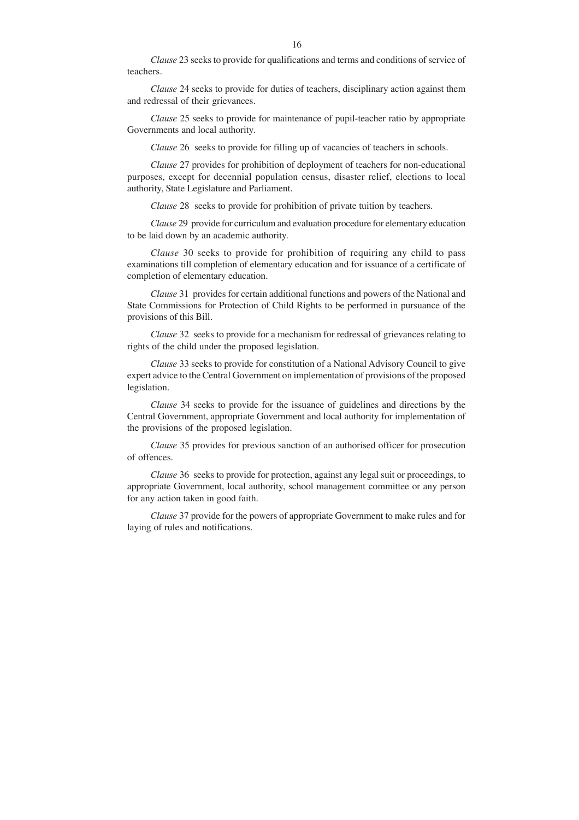*Clause* 23 seeks to provide for qualifications and terms and conditions of service of teachers.

*Clause* 24 seeks to provide for duties of teachers, disciplinary action against them and redressal of their grievances.

*Clause* 25 seeks to provide for maintenance of pupil-teacher ratio by appropriate Governments and local authority.

*Clause* 26 seeks to provide for filling up of vacancies of teachers in schools.

*Clause* 27 provides for prohibition of deployment of teachers for non-educational purposes, except for decennial population census, disaster relief, elections to local authority, State Legislature and Parliament.

*Clause* 28 seeks to provide for prohibition of private tuition by teachers.

*Clause* 29 provide for curriculum and evaluation procedure for elementary education to be laid down by an academic authority.

*Clause* 30 seeks to provide for prohibition of requiring any child to pass examinations till completion of elementary education and for issuance of a certificate of completion of elementary education.

*Clause* 31 provides for certain additional functions and powers of the National and State Commissions for Protection of Child Rights to be performed in pursuance of the provisions of this Bill.

*Clause* 32 seeks to provide for a mechanism for redressal of grievances relating to rights of the child under the proposed legislation.

*Clause* 33 seeks to provide for constitution of a National Advisory Council to give expert advice to the Central Government on implementation of provisions of the proposed legislation.

*Clause* 34 seeks to provide for the issuance of guidelines and directions by the Central Government, appropriate Government and local authority for implementation of the provisions of the proposed legislation.

*Clause* 35 provides for previous sanction of an authorised officer for prosecution of offences.

*Clause* 36 seeks to provide for protection, against any legal suit or proceedings, to appropriate Government, local authority, school management committee or any person for any action taken in good faith.

*Clause* 37 provide for the powers of appropriate Government to make rules and for laying of rules and notifications.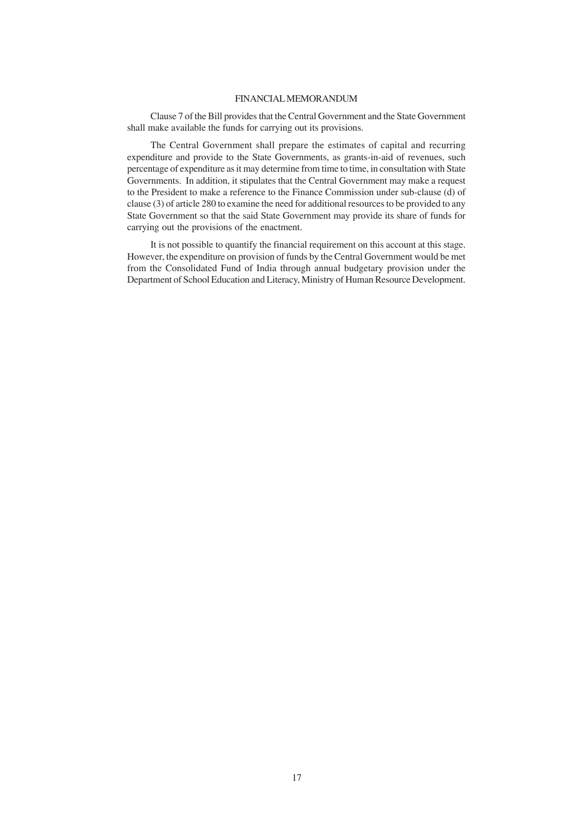## FINANCIAL MEMORANDUM

Clause 7 of the Bill provides that the Central Government and the State Government shall make available the funds for carrying out its provisions.

The Central Government shall prepare the estimates of capital and recurring expenditure and provide to the State Governments, as grants-in-aid of revenues, such percentage of expenditure as it may determine from time to time, in consultation with State Governments. In addition, it stipulates that the Central Government may make a request to the President to make a reference to the Finance Commission under sub-clause (d) of clause (3) of article 280 to examine the need for additional resources to be provided to any State Government so that the said State Government may provide its share of funds for carrying out the provisions of the enactment.

It is not possible to quantify the financial requirement on this account at this stage. However, the expenditure on provision of funds by the Central Government would be met from the Consolidated Fund of India through annual budgetary provision under the Department of School Education and Literacy, Ministry of Human Resource Development.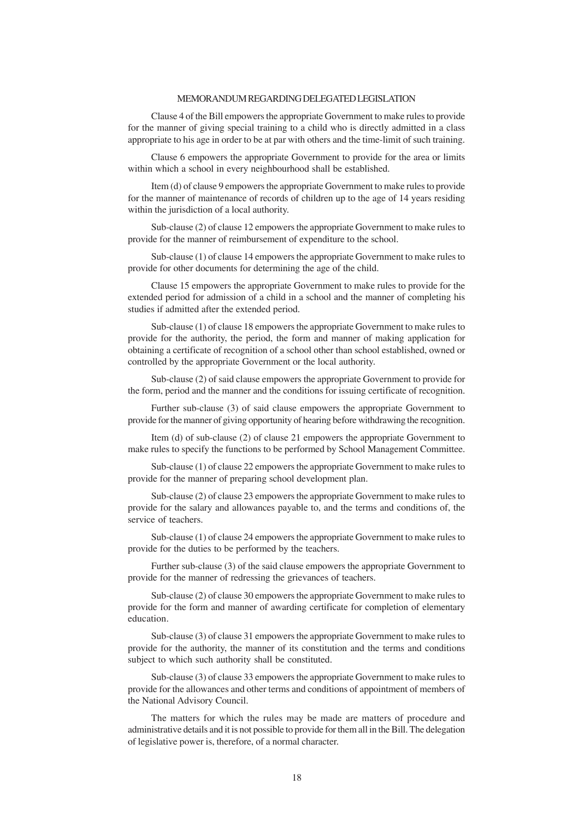#### MEMORANDUM REGARDING DELEGATED LEGISLATION

Clause 4 of the Bill empowers the appropriate Government to make rules to provide for the manner of giving special training to a child who is directly admitted in a class appropriate to his age in order to be at par with others and the time-limit of such training.

Clause 6 empowers the appropriate Government to provide for the area or limits within which a school in every neighbourhood shall be established.

Item (d) of clause 9 empowers the appropriate Government to make rules to provide for the manner of maintenance of records of children up to the age of 14 years residing within the jurisdiction of a local authority.

Sub-clause (2) of clause 12 empowers the appropriate Government to make rules to provide for the manner of reimbursement of expenditure to the school.

Sub-clause (1) of clause 14 empowers the appropriate Government to make rules to provide for other documents for determining the age of the child.

Clause 15 empowers the appropriate Government to make rules to provide for the extended period for admission of a child in a school and the manner of completing his studies if admitted after the extended period.

Sub-clause (1) of clause 18 empowers the appropriate Government to make rules to provide for the authority, the period, the form and manner of making application for obtaining a certificate of recognition of a school other than school established, owned or controlled by the appropriate Government or the local authority.

Sub-clause (2) of said clause empowers the appropriate Government to provide for the form, period and the manner and the conditions for issuing certificate of recognition.

Further sub-clause (3) of said clause empowers the appropriate Government to provide for the manner of giving opportunity of hearing before withdrawing the recognition.

Item (d) of sub-clause (2) of clause 21 empowers the appropriate Government to make rules to specify the functions to be performed by School Management Committee.

Sub-clause (1) of clause 22 empowers the appropriate Government to make rules to provide for the manner of preparing school development plan.

Sub-clause (2) of clause 23 empowers the appropriate Government to make rules to provide for the salary and allowances payable to, and the terms and conditions of, the service of teachers.

Sub-clause (1) of clause 24 empowers the appropriate Government to make rules to provide for the duties to be performed by the teachers.

Further sub-clause (3) of the said clause empowers the appropriate Government to provide for the manner of redressing the grievances of teachers.

Sub-clause (2) of clause 30 empowers the appropriate Government to make rules to provide for the form and manner of awarding certificate for completion of elementary education.

Sub-clause (3) of clause 31 empowers the appropriate Government to make rules to provide for the authority, the manner of its constitution and the terms and conditions subject to which such authority shall be constituted.

Sub-clause (3) of clause 33 empowers the appropriate Government to make rules to provide for the allowances and other terms and conditions of appointment of members of the National Advisory Council.

The matters for which the rules may be made are matters of procedure and administrative details and it is not possible to provide for them all in the Bill. The delegation of legislative power is, therefore, of a normal character.